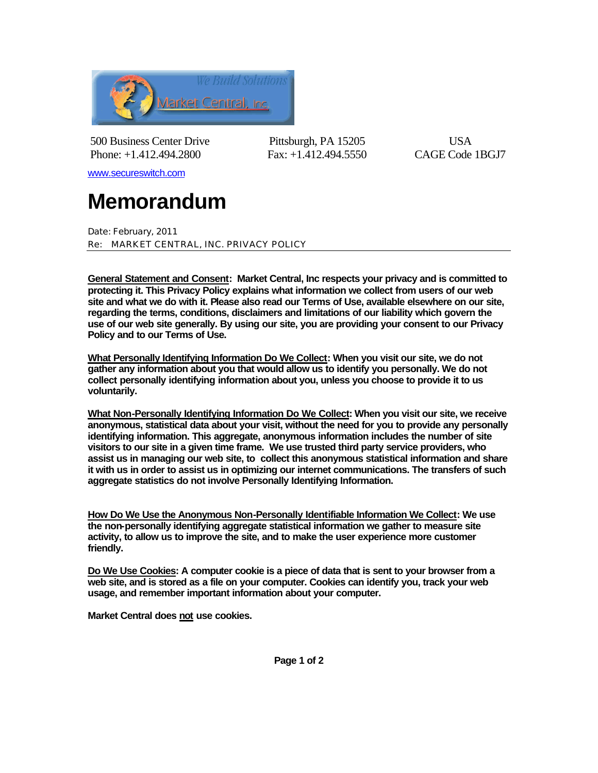

500 Business Center Drive Pittsburgh, PA 15205 USA Phone: +1.412.494.2800 Fax: +1.412.494.5550 CAGE Code 1BGJ7

www.secureswitch.com

## **Memorandum**

Date: February, 2011 Re: MARKET CENTRAL, INC. PRIVACY POLICY

**General Statement and Consent: Market Central, Inc respects your privacy and is committed to protecting it. This Privacy Policy explains what information we collect from users of our web site and what we do with it. Please also read our Terms of Use, available elsewhere on our site, regarding the terms, conditions, disclaimers and limitations of our liability which govern the use of our web site generally. By using our site, you are providing your consent to our Privacy Policy and to our Terms of Use.** 

**What Personally Identifying Information Do We Collect: When you visit our site, we do not gather any information about you that would allow us to identify you personally. We do not collect personally identifying information about you, unless you choose to provide it to us voluntarily.** 

**What Non-Personally Identifying Information Do We Collect: When you visit our site, we receive anonymous, statistical data about your visit, without the need for you to provide any personally identifying information. This aggregate, anonymous information includes the number of site visitors to our site in a given time frame. We use trusted third party service providers, who assist us in managing our web site, to collect this anonymous statistical information and share it with us in order to assist us in optimizing our internet communications. The transfers of such aggregate statistics do not involve Personally Identifying Information.** 

**How Do We Use the Anonymous Non-Personally Identifiable Information We Collect: We use the non-personally identifying aggregate statistical information we gather to measure site activity, to allow us to improve the site, and to make the user experience more customer friendly.**

**Do We Use Cookies: A computer cookie is a piece of data that is sent to your browser from a web site, and is stored as a file on your computer. Cookies can identify you, track your web usage, and remember important information about your computer.**

**Market Central does not use cookies.**